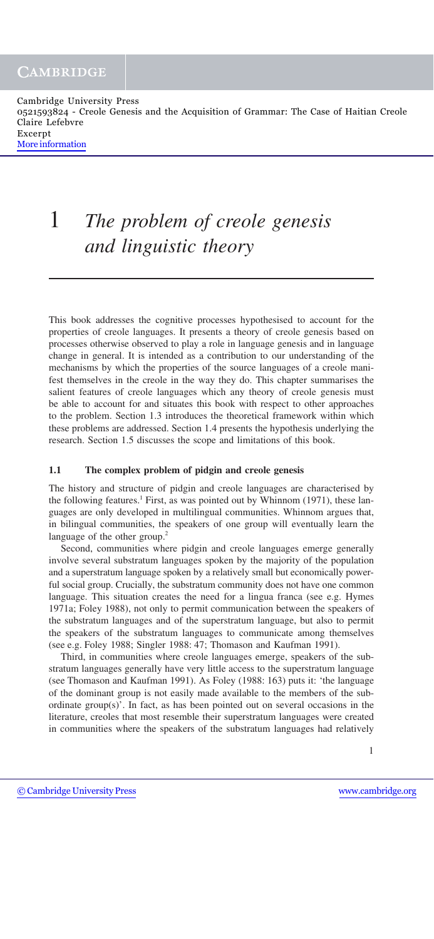# 1 *The problem of creole genesis and linguistic theory*

This book addresses the cognitive processes hypothesised to account for the properties of creole languages. It presents a theory of creole genesis based on processes otherwise observed to play a role in language genesis and in language change in general. It is intended as a contribution to our understanding of the mechanisms by which the properties of the source languages of a creole manifest themselves in the creole in the way they do. This chapter summarises the salient features of creole languages which any theory of creole genesis must be able to account for and situates this book with respect to other approaches to the problem. Section 1.3 introduces the theoretical framework within which these problems are addressed. Section 1.4 presents the hypothesis underlying the research. Section 1.5 discusses the scope and limitations of this book.

### **1.1 The complex problem of pidgin and creole genesis**

The history and structure of pidgin and creole languages are characterised by the following features.<sup>1</sup> First, as was pointed out by Whinnom (1971), these languages are only developed in multilingual communities. Whinnom argues that, in bilingual communities, the speakers of one group will eventually learn the language of the other group.<sup>2</sup>

Second, communities where pidgin and creole languages emerge generally involve several substratum languages spoken by the majority of the population and a superstratum language spoken by a relatively small but economically powerful social group. Crucially, the substratum community does not have one common language. This situation creates the need for a lingua franca (see e.g. Hymes 1971a; Foley 1988), not only to permit communication between the speakers of the substratum languages and of the superstratum language, but also to permit the speakers of the substratum languages to communicate among themselves (see e.g. Foley 1988; Singler 1988: 47; Thomason and Kaufman 1991).

Third, in communities where creole languages emerge, speakers of the substratum languages generally have very little access to the superstratum language (see Thomason and Kaufman 1991). As Foley (1988: 163) puts it: 'the language of the dominant group is not easily made available to the members of the subordinate group(s)'. In fact, as has been pointed out on several occasions in the literature, creoles that most resemble their superstratum languages were created in communities where the speakers of the substratum languages had relatively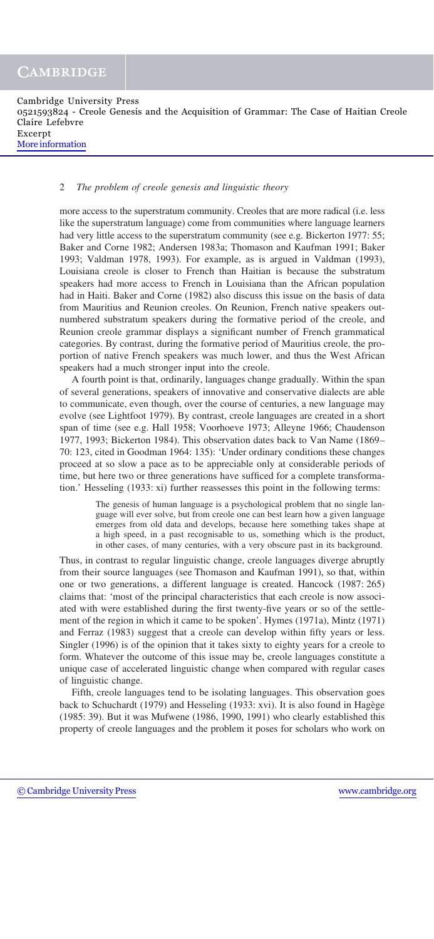more access to the superstratum community. Creoles that are more radical (i.e. less like the superstratum language) come from communities where language learners had very little access to the superstratum community (see e.g. Bickerton 1977: 55; Baker and Corne 1982; Andersen 1983a; Thomason and Kaufman 1991; Baker 1993; Valdman 1978, 1993). For example, as is argued in Valdman (1993), Louisiana creole is closer to French than Haitian is because the substratum speakers had more access to French in Louisiana than the African population had in Haiti. Baker and Corne (1982) also discuss this issue on the basis of data from Mauritius and Reunion creoles. On Reunion, French native speakers outnumbered substratum speakers during the formative period of the creole, and Reunion creole grammar displays a significant number of French grammatical categories. By contrast, during the formative period of Mauritius creole, the proportion of native French speakers was much lower, and thus the West African speakers had a much stronger input into the creole.

A fourth point is that, ordinarily, languages change gradually. Within the span of several generations, speakers of innovative and conservative dialects are able to communicate, even though, over the course of centuries, a new language may evolve (see Lightfoot 1979). By contrast, creole languages are created in a short span of time (see e.g. Hall 1958; Voorhoeve 1973; Alleyne 1966; Chaudenson 1977, 1993; Bickerton 1984). This observation dates back to Van Name (1869– 70: 123, cited in Goodman 1964: 135): 'Under ordinary conditions these changes proceed at so slow a pace as to be appreciable only at considerable periods of time, but here two or three generations have sufficed for a complete transformation.' Hesseling (1933: xi) further reassesses this point in the following terms:

> The genesis of human language is a psychological problem that no single language will ever solve, but from creole one can best learn how a given language emerges from old data and develops, because here something takes shape at a high speed, in a past recognisable to us, something which is the product, in other cases, of many centuries, with a very obscure past in its background.

Thus, in contrast to regular linguistic change, creole languages diverge abruptly from their source languages (see Thomason and Kaufman 1991), so that, within one or two generations, a different language is created. Hancock (1987: 265) claims that: 'most of the principal characteristics that each creole is now associated with were established during the first twenty-five years or so of the settlement of the region in which it came to be spoken'. Hymes (1971a), Mintz (1971) and Ferraz (1983) suggest that a creole can develop within fifty years or less. Singler (1996) is of the opinion that it takes sixty to eighty years for a creole to form. Whatever the outcome of this issue may be, creole languages constitute a unique case of accelerated linguistic change when compared with regular cases of linguistic change.

Fifth, creole languages tend to be isolating languages. This observation goes back to Schuchardt (1979) and Hesseling (1933: xvi). It is also found in Hagège (1985: 39). But it was Mufwene (1986, 1990, 1991) who clearly established this property of creole languages and the problem it poses for scholars who work on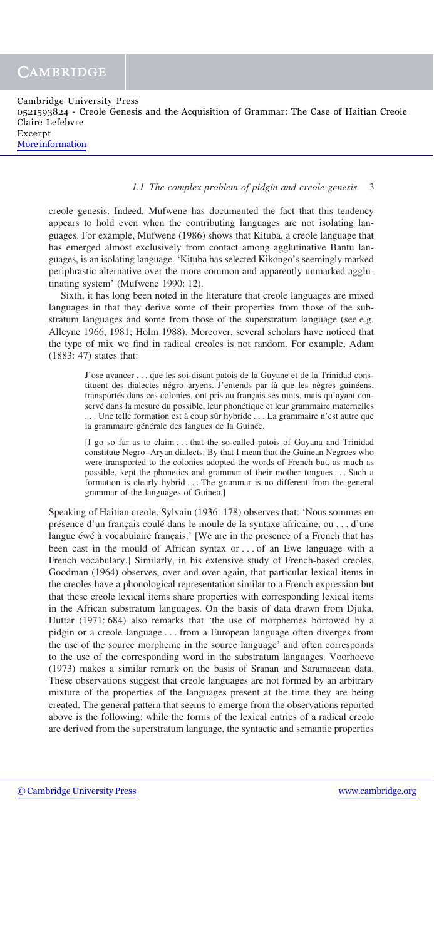## *1.1 The complex problem of pidgin and creole genesis* 3

creole genesis. Indeed, Mufwene has documented the fact that this tendency appears to hold even when the contributing languages are not isolating languages. For example, Mufwene (1986) shows that Kituba, a creole language that has emerged almost exclusively from contact among agglutinative Bantu languages, is an isolating language. 'Kituba has selected Kikongo's seemingly marked periphrastic alternative over the more common and apparently unmarked agglutinating system' (Mufwene 1990: 12).

Sixth, it has long been noted in the literature that creole languages are mixed languages in that they derive some of their properties from those of the substratum languages and some from those of the superstratum language (see e.g. Alleyne 1966, 1981; Holm 1988). Moreover, several scholars have noticed that the type of mix we find in radical creoles is not random. For example, Adam (1883: 47) states that:

> J'ose avancer . . . que les soi-disant patois de la Guyane et de la Trinidad constituent des dialectes négro–aryens. J'entends par là que les nègres guinéens, transportés dans ces colonies, ont pris au français ses mots, mais qu'ayant conservé dans la mesure du possible, leur phonétique et leur grammaire maternelles . . . Une telle formation est à coup sûr hybride . . . La grammaire n'est autre que la grammaire générale des langues de la Guinée.

> [I go so far as to claim . . . that the so-called patois of Guyana and Trinidad constitute Negro–Aryan dialects. By that I mean that the Guinean Negroes who were transported to the colonies adopted the words of French but, as much as possible, kept the phonetics and grammar of their mother tongues . . . Such a formation is clearly hybrid . . . The grammar is no different from the general grammar of the languages of Guinea.]

Speaking of Haitian creole, Sylvain (1936: 178) observes that: 'Nous sommes en présence d'un français coulé dans le moule de la syntaxe africaine, ou . . . d'une langue éwé à vocabulaire français.' [We are in the presence of a French that has been cast in the mould of African syntax or . . . of an Ewe language with a French vocabulary.] Similarly, in his extensive study of French-based creoles, Goodman (1964) observes, over and over again, that particular lexical items in the creoles have a phonological representation similar to a French expression but that these creole lexical items share properties with corresponding lexical items in the African substratum languages. On the basis of data drawn from Djuka, Huttar (1971: 684) also remarks that 'the use of morphemes borrowed by a pidgin or a creole language . . . from a European language often diverges from the use of the source morpheme in the source language' and often corresponds to the use of the corresponding word in the substratum languages. Voorhoeve (1973) makes a similar remark on the basis of Sranan and Saramaccan data. These observations suggest that creole languages are not formed by an arbitrary mixture of the properties of the languages present at the time they are being created. The general pattern that seems to emerge from the observations reported above is the following: while the forms of the lexical entries of a radical creole are derived from the superstratum language, the syntactic and semantic properties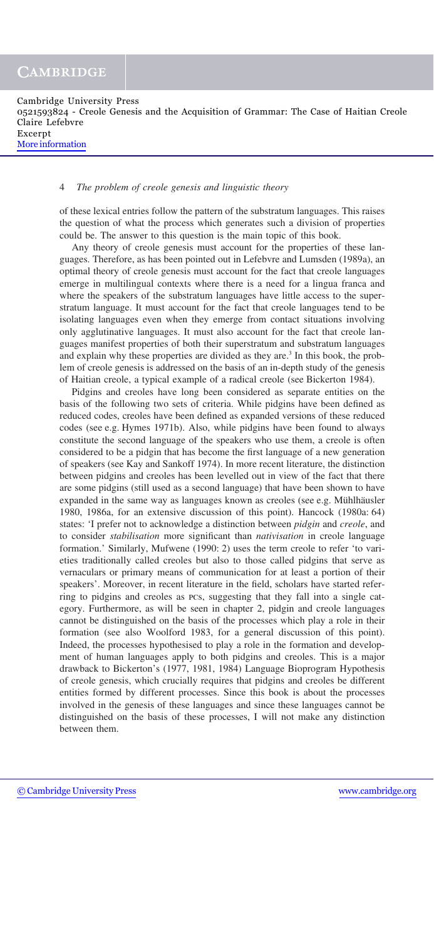of these lexical entries follow the pattern of the substratum languages. This raises the question of what the process which generates such a division of properties could be. The answer to this question is the main topic of this book.

Any theory of creole genesis must account for the properties of these languages. Therefore, as has been pointed out in Lefebvre and Lumsden (1989a), an optimal theory of creole genesis must account for the fact that creole languages emerge in multilingual contexts where there is a need for a lingua franca and where the speakers of the substratum languages have little access to the superstratum language. It must account for the fact that creole languages tend to be isolating languages even when they emerge from contact situations involving only agglutinative languages. It must also account for the fact that creole languages manifest properties of both their superstratum and substratum languages and explain why these properties are divided as they are.<sup>3</sup> In this book, the problem of creole genesis is addressed on the basis of an in-depth study of the genesis of Haitian creole, a typical example of a radical creole (see Bickerton 1984).

Pidgins and creoles have long been considered as separate entities on the basis of the following two sets of criteria. While pidgins have been defined as reduced codes, creoles have been defined as expanded versions of these reduced codes (see e.g. Hymes 1971b). Also, while pidgins have been found to always constitute the second language of the speakers who use them, a creole is often considered to be a pidgin that has become the first language of a new generation of speakers (see Kay and Sankoff 1974). In more recent literature, the distinction between pidgins and creoles has been levelled out in view of the fact that there are some pidgins (still used as a second language) that have been shown to have expanded in the same way as languages known as creoles (see e.g. Mühlhäusler 1980, 1986a, for an extensive discussion of this point). Hancock (1980a: 64) states: 'I prefer not to acknowledge a distinction between *pidgin* and *creole*, and to consider *stabilisation* more significant than *nativisation* in creole language formation.' Similarly, Mufwene (1990: 2) uses the term creole to refer 'to varieties traditionally called creoles but also to those called pidgins that serve as vernaculars or primary means of communication for at least a portion of their speakers'. Moreover, in recent literature in the field, scholars have started referring to pidgins and creoles as pcs, suggesting that they fall into a single category. Furthermore, as will be seen in chapter 2, pidgin and creole languages cannot be distinguished on the basis of the processes which play a role in their formation (see also Woolford 1983, for a general discussion of this point). Indeed, the processes hypothesised to play a role in the formation and development of human languages apply to both pidgins and creoles. This is a major drawback to Bickerton's (1977, 1981, 1984) Language Bioprogram Hypothesis of creole genesis, which crucially requires that pidgins and creoles be different entities formed by different processes. Since this book is about the processes involved in the genesis of these languages and since these languages cannot be distinguished on the basis of these processes, I will not make any distinction between them.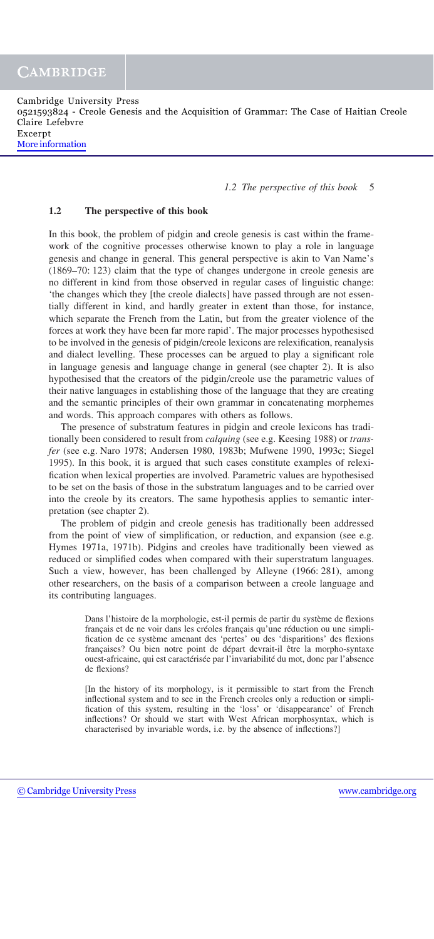*1.2 The perspective of this book* 5

#### **1.2 The perspective of this book**

In this book, the problem of pidgin and creole genesis is cast within the framework of the cognitive processes otherwise known to play a role in language genesis and change in general. This general perspective is akin to Van Name's (1869–70: 123) claim that the type of changes undergone in creole genesis are no different in kind from those observed in regular cases of linguistic change: 'the changes which they [the creole dialects] have passed through are not essentially different in kind, and hardly greater in extent than those, for instance, which separate the French from the Latin, but from the greater violence of the forces at work they have been far more rapid'. The major processes hypothesised to be involved in the genesis of pidgin/creole lexicons are relexification, reanalysis and dialect levelling. These processes can be argued to play a significant role in language genesis and language change in general (see chapter 2). It is also hypothesised that the creators of the pidgin/creole use the parametric values of their native languages in establishing those of the language that they are creating and the semantic principles of their own grammar in concatenating morphemes and words. This approach compares with others as follows.

The presence of substratum features in pidgin and creole lexicons has traditionally been considered to result from *calquing* (see e.g. Keesing 1988) or *transfer* (see e.g. Naro 1978; Andersen 1980, 1983b; Mufwene 1990, 1993c; Siegel 1995). In this book, it is argued that such cases constitute examples of relexification when lexical properties are involved. Parametric values are hypothesised to be set on the basis of those in the substratum languages and to be carried over into the creole by its creators. The same hypothesis applies to semantic interpretation (see chapter 2).

The problem of pidgin and creole genesis has traditionally been addressed from the point of view of simplification, or reduction, and expansion (see e.g. Hymes 1971a, 1971b). Pidgins and creoles have traditionally been viewed as reduced or simplified codes when compared with their superstratum languages. Such a view, however, has been challenged by Alleyne (1966: 281), among other researchers, on the basis of a comparison between a creole language and its contributing languages.

> Dans l'histoire de la morphologie, est-il permis de partir du système de flexions français et de ne voir dans les créoles français qu'une réduction ou une simplification de ce système amenant des 'pertes' ou des 'disparitions' des flexions françaises? Ou bien notre point de départ devrait-il être la morpho-syntaxe ouest-africaine, qui est caractérisée par l'invariabilité du mot, donc par l'absence de flexions?

> [In the history of its morphology, is it permissible to start from the French inflectional system and to see in the French creoles only a reduction or simplification of this system, resulting in the 'loss' or 'disappearance' of French inflections? Or should we start with West African morphosyntax, which is characterised by invariable words, i.e. by the absence of inflections?]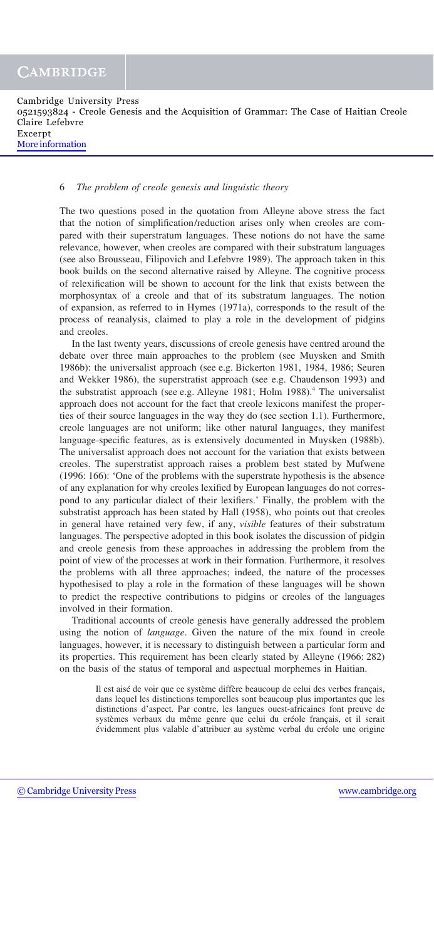The two questions posed in the quotation from Alleyne above stress the fact that the notion of simplification/reduction arises only when creoles are compared with their superstratum languages. These notions do not have the same relevance, however, when creoles are compared with their substratum languages (see also Brousseau, Filipovich and Lefebvre 1989). The approach taken in this book builds on the second alternative raised by Alleyne. The cognitive process of relexification will be shown to account for the link that exists between the morphosyntax of a creole and that of its substratum languages. The notion of expansion, as referred to in Hymes (1971a), corresponds to the result of the process of reanalysis, claimed to play a role in the development of pidgins and creoles.

In the last twenty years, discussions of creole genesis have centred around the debate over three main approaches to the problem (see Muysken and Smith 1986b): the universalist approach (see e.g. Bickerton 1981, 1984, 1986; Seuren and Wekker 1986), the superstratist approach (see e.g. Chaudenson 1993) and the substratist approach (see e.g. Alleyne 1981; Holm 1988).<sup>4</sup> The universalist approach does not account for the fact that creole lexicons manifest the properties of their source languages in the way they do (see section 1.1). Furthermore, creole languages are not uniform; like other natural languages, they manifest language-specific features, as is extensively documented in Muysken (1988b). The universalist approach does not account for the variation that exists between creoles. The superstratist approach raises a problem best stated by Mufwene (1996: 166): 'One of the problems with the superstrate hypothesis is the absence of any explanation for why creoles lexified by European languages do not correspond to any particular dialect of their lexifiers.' Finally, the problem with the substratist approach has been stated by Hall (1958), who points out that creoles in general have retained very few, if any, *visible* features of their substratum languages. The perspective adopted in this book isolates the discussion of pidgin and creole genesis from these approaches in addressing the problem from the point of view of the processes at work in their formation. Furthermore, it resolves the problems with all three approaches; indeed, the nature of the processes hypothesised to play a role in the formation of these languages will be shown to predict the respective contributions to pidgins or creoles of the languages involved in their formation.

Traditional accounts of creole genesis have generally addressed the problem using the notion of *language*. Given the nature of the mix found in creole languages, however, it is necessary to distinguish between a particular form and its properties. This requirement has been clearly stated by Alleyne (1966: 282) on the basis of the status of temporal and aspectual morphemes in Haitian.

> Il est aisé de voir que ce système diffère beaucoup de celui des verbes français, dans lequel les distinctions temporelles sont beaucoup plus importantes que les distinctions d'aspect. Par contre, les langues ouest-africaines font preuve de systèmes verbaux du même genre que celui du créole français, et il serait évidemment plus valable d'attribuer au système verbal du créole une origine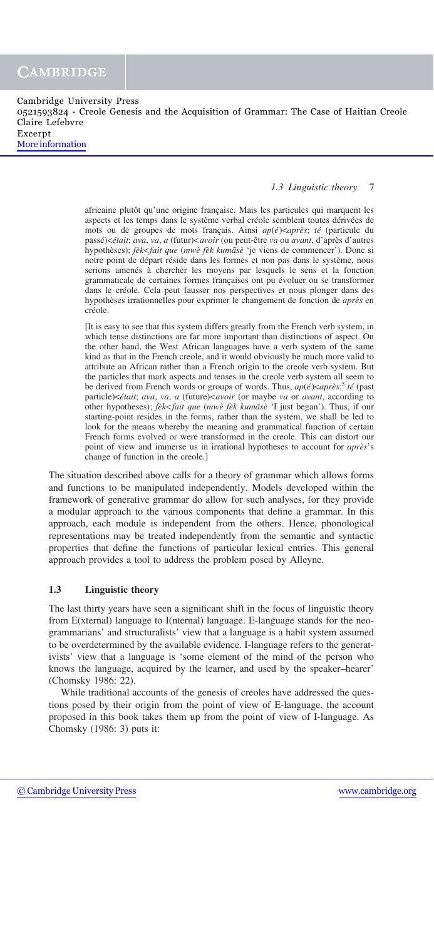*1.3 Linguistic theory* 7

africaine plutôt qu'une origine française. Mais les particules qui marquent les aspects et les temps dans le système verbal créole semblent toutes dérivées de mots ou de groupes de mots français. Ainsi *ap*(*é*)<*après*; *té* (particule du passé)<*était*; *ava*, *va*, *a* (futur)<*avoir* (ou peut-être *va* ou *avant*, d'après d'autres hypothèses); *fèk*<*fait que* (*mwè fèk kumãsè* 'je viens de commencer'). Donc si notre point de départ réside dans les formes et non pas dans le système, nous serions amenés à chercher les moyens par lesquels le sens et la fonction grammaticale de certaines formes françaises ont pu évoluer ou se transformer dans le créole. Cela peut fausser nos perspectives et nous plonger dans des hypothèses irrationnelles pour exprimer le changement de fonction de *après* en créole.

[It is easy to see that this system differs greatly from the French verb system, in which tense distinctions are far more important than distinctions of aspect. On the other hand, the West African languages have a verb system of the same kind as that in the French creole, and it would obviously be much more valid to attribute an African rather than a French origin to the creole verb system. But the particles that mark aspects and tenses in the creole verb system all seem to be derived from French words or groups of words. Thus, *ap*(*é*)<*après*; <sup>5</sup> *té* (past particle)<*était*; *ava*, *va*, *a* (future)<*avoir* (or maybe *va* or *avant*, according to other hypotheses); *fèk*<*fait que* (*mwè fèk kumãsè* 'I just began'). Thus, if our starting-point resides in the forms, rather than the system, we shall be led to look for the means whereby the meaning and grammatical function of certain French forms evolved or were transformed in the creole. This can distort our point of view and immerse us in irrational hypotheses to account for *après*'s change of function in the creole.]

The situation described above calls for a theory of grammar which allows forms and functions to be manipulated independently. Models developed within the framework of generative grammar do allow for such analyses, for they provide a modular approach to the various components that define a grammar. In this approach, each module is independent from the others. Hence, phonological representations may be treated independently from the semantic and syntactic properties that define the functions of particular lexical entries. This general approach provides a tool to address the problem posed by Alleyne.

#### **1.3 Linguistic theory**

The last thirty years have seen a significant shift in the focus of linguistic theory from E(xternal) language to I(nternal) language. E-language stands for the neogrammarians' and structuralists' view that a language is a habit system assumed to be overdetermined by the available evidence. I-language refers to the generativists' view that a language is 'some element of the mind of the person who knows the language, acquired by the learner, and used by the speaker–hearer' (Chomsky 1986: 22).

While traditional accounts of the genesis of creoles have addressed the questions posed by their origin from the point of view of E-language, the account proposed in this book takes them up from the point of view of I-language. As Chomsky (1986: 3) puts it: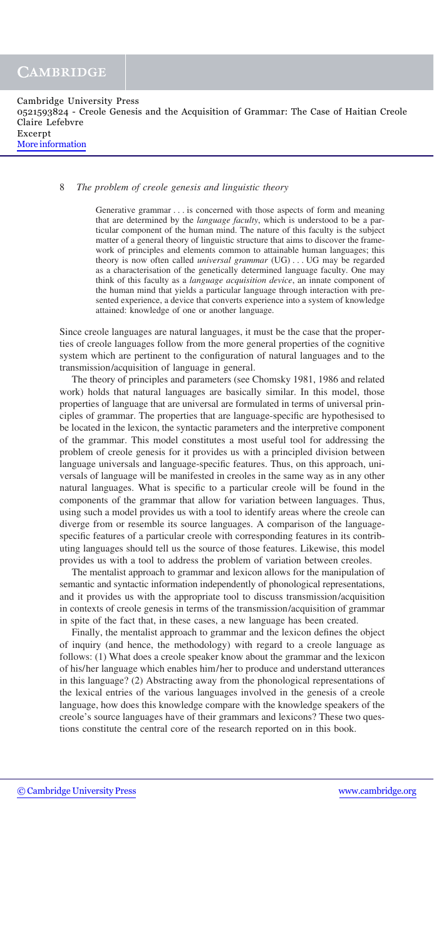Generative grammar . . . is concerned with those aspects of form and meaning that are determined by the *language faculty*, which is understood to be a particular component of the human mind. The nature of this faculty is the subject matter of a general theory of linguistic structure that aims to discover the framework of principles and elements common to attainable human languages; this theory is now often called *universal grammar* (UG) . . . UG may be regarded as a characterisation of the genetically determined language faculty. One may think of this faculty as a *language acquisition device*, an innate component of the human mind that yields a particular language through interaction with presented experience, a device that converts experience into a system of knowledge attained: knowledge of one or another language.

Since creole languages are natural languages, it must be the case that the properties of creole languages follow from the more general properties of the cognitive system which are pertinent to the configuration of natural languages and to the transmission/acquisition of language in general.

The theory of principles and parameters (see Chomsky 1981, 1986 and related work) holds that natural languages are basically similar. In this model, those properties of language that are universal are formulated in terms of universal principles of grammar. The properties that are language-specific are hypothesised to be located in the lexicon, the syntactic parameters and the interpretive component of the grammar. This model constitutes a most useful tool for addressing the problem of creole genesis for it provides us with a principled division between language universals and language-specific features. Thus, on this approach, universals of language will be manifested in creoles in the same way as in any other natural languages. What is specific to a particular creole will be found in the components of the grammar that allow for variation between languages. Thus, using such a model provides us with a tool to identify areas where the creole can diverge from or resemble its source languages. A comparison of the languagespecific features of a particular creole with corresponding features in its contributing languages should tell us the source of those features. Likewise, this model provides us with a tool to address the problem of variation between creoles.

The mentalist approach to grammar and lexicon allows for the manipulation of semantic and syntactic information independently of phonological representations, and it provides us with the appropriate tool to discuss transmission/acquisition in contexts of creole genesis in terms of the transmission/acquisition of grammar in spite of the fact that, in these cases, a new language has been created.

Finally, the mentalist approach to grammar and the lexicon defines the object of inquiry (and hence, the methodology) with regard to a creole language as follows: (1) What does a creole speaker know about the grammar and the lexicon of his/her language which enables him/her to produce and understand utterances in this language? (2) Abstracting away from the phonological representations of the lexical entries of the various languages involved in the genesis of a creole language, how does this knowledge compare with the knowledge speakers of the creole's source languages have of their grammars and lexicons? These two questions constitute the central core of the research reported on in this book.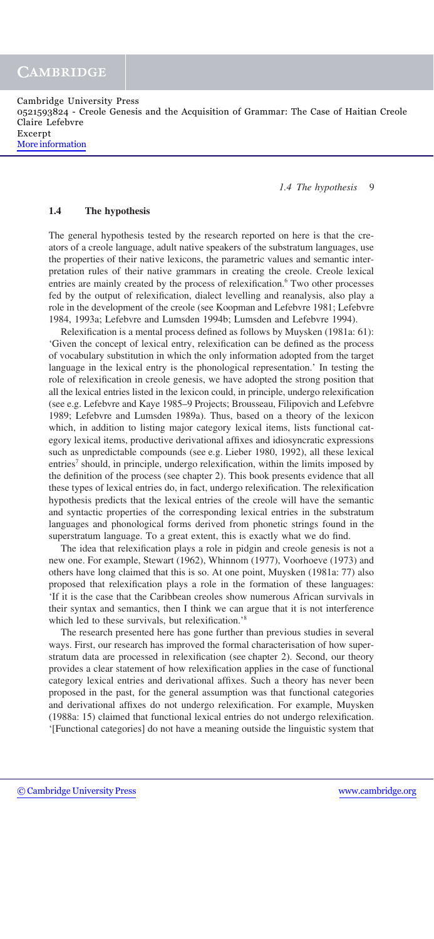*1.4 The hypothesis* 9

#### **1.4 The hypothesis**

The general hypothesis tested by the research reported on here is that the creators of a creole language, adult native speakers of the substratum languages, use the properties of their native lexicons, the parametric values and semantic interpretation rules of their native grammars in creating the creole. Creole lexical entries are mainly created by the process of relexification.<sup>6</sup> Two other processes fed by the output of relexification, dialect levelling and reanalysis, also play a role in the development of the creole (see Koopman and Lefebvre 1981; Lefebvre 1984, 1993a; Lefebvre and Lumsden 1994b; Lumsden and Lefebvre 1994).

Relexification is a mental process defined as follows by Muysken (1981a: 61): 'Given the concept of lexical entry, relexification can be defined as the process of vocabulary substitution in which the only information adopted from the target language in the lexical entry is the phonological representation.' In testing the role of relexification in creole genesis, we have adopted the strong position that all the lexical entries listed in the lexicon could, in principle, undergo relexification (see e.g. Lefebvre and Kaye 1985–9 Projects; Brousseau, Filipovich and Lefebvre 1989; Lefebvre and Lumsden 1989a). Thus, based on a theory of the lexicon which, in addition to listing major category lexical items, lists functional category lexical items, productive derivational affixes and idiosyncratic expressions such as unpredictable compounds (see e.g. Lieber 1980, 1992), all these lexical entries<sup>7</sup> should, in principle, undergo relexification, within the limits imposed by the definition of the process (see chapter 2). This book presents evidence that all these types of lexical entries do, in fact, undergo relexification. The relexification hypothesis predicts that the lexical entries of the creole will have the semantic and syntactic properties of the corresponding lexical entries in the substratum languages and phonological forms derived from phonetic strings found in the superstratum language. To a great extent, this is exactly what we do find.

The idea that relexification plays a role in pidgin and creole genesis is not a new one. For example, Stewart (1962), Whinnom (1977), Voorhoeve (1973) and others have long claimed that this is so. At one point, Muysken (1981a: 77) also proposed that relexification plays a role in the formation of these languages: 'If it is the case that the Caribbean creoles show numerous African survivals in their syntax and semantics, then I think we can argue that it is not interference which led to these survivals, but relexification.<sup>8</sup>

The research presented here has gone further than previous studies in several ways. First, our research has improved the formal characterisation of how superstratum data are processed in relexification (see chapter 2). Second, our theory provides a clear statement of how relexification applies in the case of functional category lexical entries and derivational affixes. Such a theory has never been proposed in the past, for the general assumption was that functional categories and derivational affixes do not undergo relexification. For example, Muysken (1988a: 15) claimed that functional lexical entries do not undergo relexification. '[Functional categories] do not have a meaning outside the linguistic system that